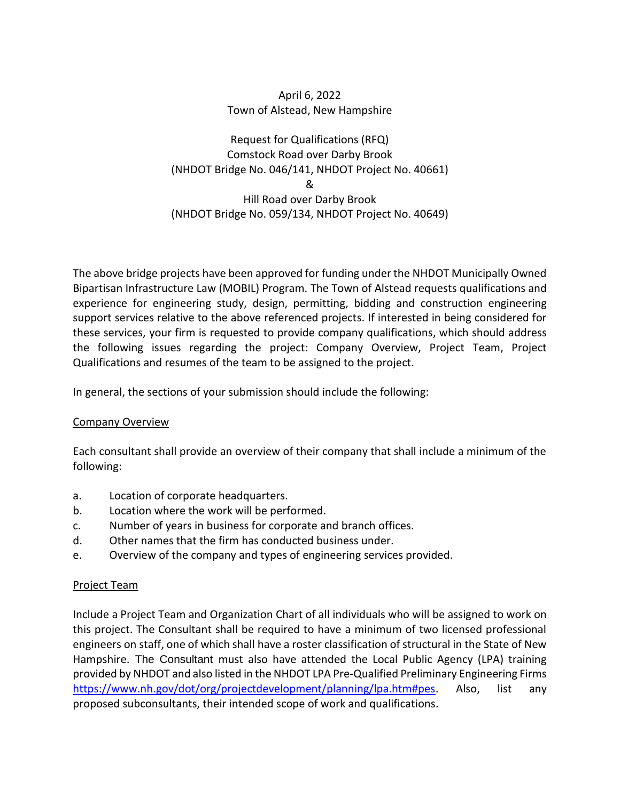## April 6, 2022 Town of Alstead, New Hampshire

# Request for Qualifications (RFQ) Comstock Road over Darby Brook (NHDOT Bridge No. 046/141, NHDOT Project No. 40661) & Hill Road over Darby Brook (NHDOT Bridge No. 059/134, NHDOT Project No. 40649)

The above bridge projects have been approved for funding under the NHDOT Municipally Owned Bipartisan Infrastructure Law (MOBIL) Program. The Town of Alstead requests qualifications and experience for engineering study, design, permitting, bidding and construction engineering support services relative to the above referenced projects. If interested in being considered for these services, your firm is requested to provide company qualifications, which should address the following issues regarding the project: Company Overview, Project Team, Project Qualifications and resumes of the team to be assigned to the project.

In general, the sections of your submission should include the following:

## Company Overview

Each consultant shall provide an overview of their company that shall include a minimum of the following:

- a. Location of corporate headquarters.
- b. Location where the work will be performed.
- c. Number of years in business for corporate and branch offices.
- d. Other names that the firm has conducted business under.
- e. Overview of the company and types of engineering services provided.

## Project Team

Include a Project Team and Organization Chart of all individuals who will be assigned to work on this project. The Consultant shall be required to have a minimum of two licensed professional engineers on staff, one of which shall have a roster classification of structural in the State of New Hampshire. The Consultant must also have attended the Local Public Agency (LPA) training provided by NHDOT and also listed in the NHDOT LPA Pre-Qualified Preliminary Engineering Firms [https://www.nh.gov/dot/org/projectdevelopment/planning/lpa.htm#pes.](https://www.nh.gov/dot/org/projectdevelopment/planning/lpa.htm#pes) Also, list any proposed subconsultants, their intended scope of work and qualifications.